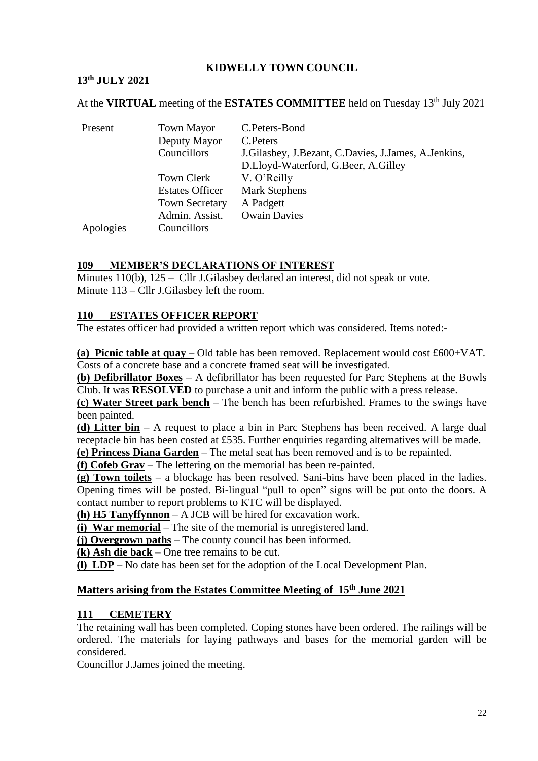### **KIDWELLY TOWN COUNCIL**

### **13 th JULY 2021**

At the VIRTUAL meeting of the ESTATES COMMITTEE held on Tuesday 13<sup>th</sup> July 2021

| Present   | <b>Town Mayor</b>      | C.Peters-Bond                                            |
|-----------|------------------------|----------------------------------------------------------|
|           | Deputy Mayor           | C. Peters                                                |
|           | Councillors            | J. Gilasbey, J. Bezant, C. Davies, J. James, A. Jenkins, |
|           |                        | D.Lloyd-Waterford, G.Beer, A.Gilley                      |
|           | Town Clerk             | V. O'Reilly                                              |
|           | <b>Estates Officer</b> | <b>Mark Stephens</b>                                     |
|           | <b>Town Secretary</b>  | A Padgett                                                |
|           | Admin. Assist.         | <b>Owain Davies</b>                                      |
| Apologies | Councillors            |                                                          |

#### **109 MEMBER'S DECLARATIONS OF INTEREST**

Minutes 110(b), 125 – Cllr J. Gilasbey declared an interest, did not speak or vote. Minute 113 – Cllr J.Gilasbey left the room.

#### **110 ESTATES OFFICER REPORT**

The estates officer had provided a written report which was considered. Items noted:-

**(a) Picnic table at quay –** Old table has been removed. Replacement would cost £600+VAT. Costs of a concrete base and a concrete framed seat will be investigated.

**(b) Defibrillator Boxes** – A defibrillator has been requested for Parc Stephens at the Bowls Club. It was **RESOLVED** to purchase a unit and inform the public with a press release.

**(c) Water Street park bench** – The bench has been refurbished. Frames to the swings have been painted.

**(d) Litter bin** – A request to place a bin in Parc Stephens has been received. A large dual receptacle bin has been costed at £535. Further enquiries regarding alternatives will be made.

**(e) Princess Diana Garden** – The metal seat has been removed and is to be repainted.

**(f) Cofeb Grav** – The lettering on the memorial has been re-painted.

**(g) Town toilets** – a blockage has been resolved. Sani-bins have been placed in the ladies. Opening times will be posted. Bi-lingual "pull to open" signs will be put onto the doors. A contact number to report problems to KTC will be displayed.

**(h) H5 Tanyffynnon** – A JCB will be hired for excavation work.

**(i) War memorial** – The site of the memorial is unregistered land.

**(j) Overgrown paths** – The county council has been informed.

**(k) Ash die back** – One tree remains to be cut.

**(l) LDP** – No date has been set for the adoption of the Local Development Plan.

#### **Matters arising from the Estates Committee Meeting of 15 th June 2021**

#### **111 CEMETERY**

The retaining wall has been completed. Coping stones have been ordered. The railings will be ordered. The materials for laying pathways and bases for the memorial garden will be considered.

Councillor J.James joined the meeting.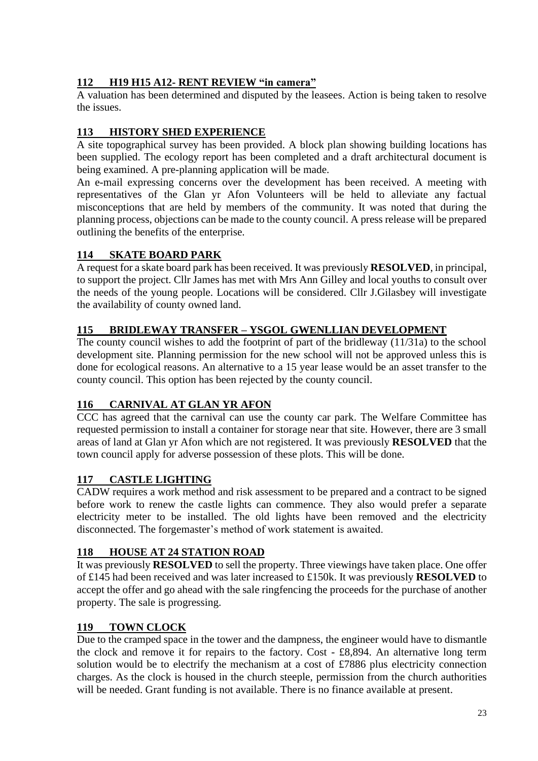## **112 H19 H15 A12- RENT REVIEW "in camera"**

A valuation has been determined and disputed by the leasees. Action is being taken to resolve the issues.

### **113 HISTORY SHED EXPERIENCE**

A site topographical survey has been provided. A block plan showing building locations has been supplied. The ecology report has been completed and a draft architectural document is being examined. A pre-planning application will be made.

An e-mail expressing concerns over the development has been received. A meeting with representatives of the Glan yr Afon Volunteers will be held to alleviate any factual misconceptions that are held by members of the community. It was noted that during the planning process, objections can be made to the county council. A press release will be prepared outlining the benefits of the enterprise.

## **114 SKATE BOARD PARK**

A request for a skate board park has been received. It was previously **RESOLVED**, in principal, to support the project. Cllr James has met with Mrs Ann Gilley and local youths to consult over the needs of the young people. Locations will be considered. Cllr J.Gilasbey will investigate the availability of county owned land.

### **115 BRIDLEWAY TRANSFER – YSGOL GWENLLIAN DEVELOPMENT**

The county council wishes to add the footprint of part of the bridleway (11/31a) to the school development site. Planning permission for the new school will not be approved unless this is done for ecological reasons. An alternative to a 15 year lease would be an asset transfer to the county council. This option has been rejected by the county council.

## **116 CARNIVAL AT GLAN YR AFON**

CCC has agreed that the carnival can use the county car park. The Welfare Committee has requested permission to install a container for storage near that site. However, there are 3 small areas of land at Glan yr Afon which are not registered. It was previously **RESOLVED** that the town council apply for adverse possession of these plots. This will be done.

## **117 CASTLE LIGHTING**

CADW requires a work method and risk assessment to be prepared and a contract to be signed before work to renew the castle lights can commence. They also would prefer a separate electricity meter to be installed. The old lights have been removed and the electricity disconnected. The forgemaster's method of work statement is awaited.

#### **118 HOUSE AT 24 STATION ROAD**

It was previously **RESOLVED** to sell the property. Three viewings have taken place. One offer of £145 had been received and was later increased to £150k. It was previously **RESOLVED** to accept the offer and go ahead with the sale ringfencing the proceeds for the purchase of another property. The sale is progressing.

#### **119 TOWN CLOCK**

Due to the cramped space in the tower and the dampness, the engineer would have to dismantle the clock and remove it for repairs to the factory. Cost - £8,894. An alternative long term solution would be to electrify the mechanism at a cost of £7886 plus electricity connection charges. As the clock is housed in the church steeple, permission from the church authorities will be needed. Grant funding is not available. There is no finance available at present.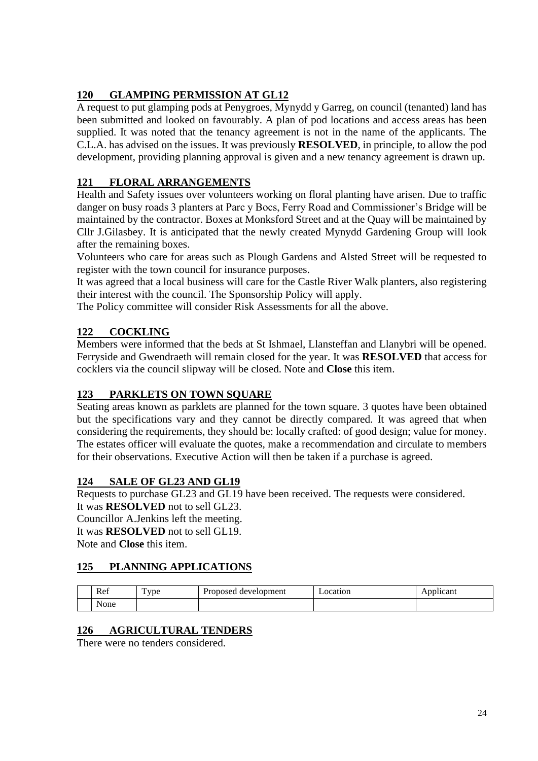# **120 GLAMPING PERMISSION AT GL12**

A request to put glamping pods at Penygroes, Mynydd y Garreg, on council (tenanted) land has been submitted and looked on favourably. A plan of pod locations and access areas has been supplied. It was noted that the tenancy agreement is not in the name of the applicants. The C.L.A. has advised on the issues. It was previously **RESOLVED**, in principle, to allow the pod development, providing planning approval is given and a new tenancy agreement is drawn up.

# **121 FLORAL ARRANGEMENTS**

Health and Safety issues over volunteers working on floral planting have arisen. Due to traffic danger on busy roads 3 planters at Parc y Bocs, Ferry Road and Commissioner's Bridge will be maintained by the contractor. Boxes at Monksford Street and at the Quay will be maintained by Cllr J.Gilasbey. It is anticipated that the newly created Mynydd Gardening Group will look after the remaining boxes.

Volunteers who care for areas such as Plough Gardens and Alsted Street will be requested to register with the town council for insurance purposes.

It was agreed that a local business will care for the Castle River Walk planters, also registering their interest with the council. The Sponsorship Policy will apply.

The Policy committee will consider Risk Assessments for all the above.

## **122 COCKLING**

Members were informed that the beds at St Ishmael, Llansteffan and Llanybri will be opened. Ferryside and Gwendraeth will remain closed for the year. It was **RESOLVED** that access for cocklers via the council slipway will be closed. Note and **Close** this item.

## **123 PARKLETS ON TOWN SQUARE**

Seating areas known as parklets are planned for the town square. 3 quotes have been obtained but the specifications vary and they cannot be directly compared. It was agreed that when considering the requirements, they should be: locally crafted: of good design; value for money. The estates officer will evaluate the quotes, make a recommendation and circulate to members for their observations. Executive Action will then be taken if a purchase is agreed.

# **124 SALE OF GL23 AND GL19**

Requests to purchase GL23 and GL19 have been received. The requests were considered.

It was **RESOLVED** not to sell GL23. Councillor A.Jenkins left the meeting. It was **RESOLVED** not to sell GL19. Note and **Close** this item.

# **125 PLANNING APPLICATIONS**

| Ref                  | $\mathbf{r}$<br><i>vpe</i> | Proposed development | ocation_ | Applicant |
|----------------------|----------------------------|----------------------|----------|-----------|
| $\mathbf{v}$<br>None |                            |                      |          |           |

# **126 AGRICULTURAL TENDERS**

There were no tenders considered.